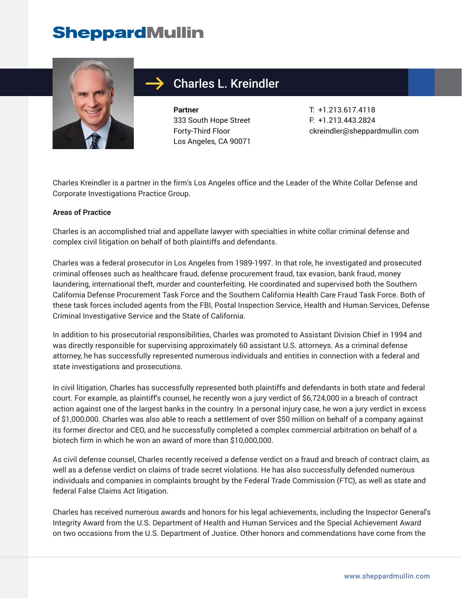## **SheppardMullin**



## Charles L. Kreindler

**Partner** 333 South Hope Street Forty-Third Floor Los Angeles, CA 90071

T: +1.213.617.4118 F: +1.213.443.2824 ckreindler@sheppardmullin.com

Charles Kreindler is a partner in the firm's Los Angeles office and the Leader of the White Collar Defense and Corporate Investigations Practice Group.

#### **Areas of Practice**

Charles is an accomplished trial and appellate lawyer with specialties in white collar criminal defense and complex civil litigation on behalf of both plaintiffs and defendants.

Charles was a federal prosecutor in Los Angeles from 1989-1997. In that role, he investigated and prosecuted criminal offenses such as healthcare fraud, defense procurement fraud, tax evasion, bank fraud, money laundering, international theft, murder and counterfeiting. He coordinated and supervised both the Southern California Defense Procurement Task Force and the Southern California Health Care Fraud Task Force. Both of these task forces included agents from the FBI, Postal Inspection Service, Health and Human Services, Defense Criminal Investigative Service and the State of California.

In addition to his prosecutorial responsibilities, Charles was promoted to Assistant Division Chief in 1994 and was directly responsible for supervising approximately 60 assistant U.S. attorneys. As a criminal defense attorney, he has successfully represented numerous individuals and entities in connection with a federal and state investigations and prosecutions.

In civil litigation, Charles has successfully represented both plaintiffs and defendants in both state and federal court. For example, as plaintiff's counsel, he recently won a jury verdict of \$6,724,000 in a breach of contract action against one of the largest banks in the country. In a personal injury case, he won a jury verdict in excess of \$1,000,000. Charles was also able to reach a settlement of over \$50 million on behalf of a company against its former director and CEO, and he successfully completed a complex commercial arbitration on behalf of a biotech firm in which he won an award of more than \$10,000,000.

As civil defense counsel, Charles recently received a defense verdict on a fraud and breach of contract claim, as well as a defense verdict on claims of trade secret violations. He has also successfully defended numerous individuals and companies in complaints brought by the Federal Trade Commission (FTC), as well as state and federal False Claims Act litigation.

Charles has received numerous awards and honors for his legal achievements, including the Inspector General's Integrity Award from the U.S. Department of Health and Human Services and the Special Achievement Award on two occasions from the U.S. Department of Justice. Other honors and commendations have come from the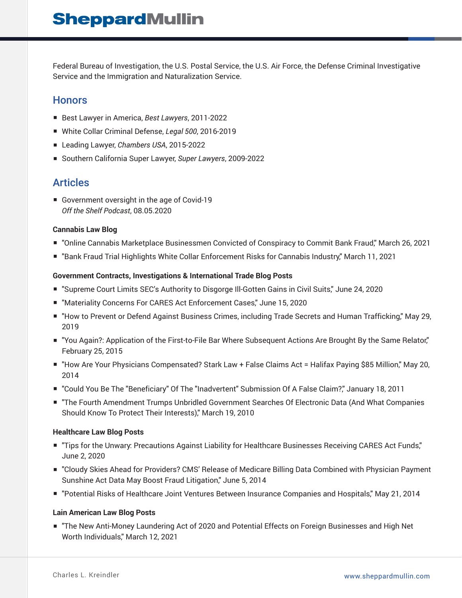Federal Bureau of Investigation, the U.S. Postal Service, the U.S. Air Force, the Defense Criminal Investigative Service and the Immigration and Naturalization Service.

### **Honors**

- Best Lawyer in America, *Best Lawyers*, 2011-2022
- White Collar Criminal Defense, *Legal 500*, 2016-2019
- Leading Lawyer, *Chambers USA*, 2015-2022
- Southern California Super Lawyer, *Super Lawyers*, 2009-2022

### Articles

■ Government oversight in the age of Covid-19 *Off the Shelf Podcast*, 08.05.2020

#### **Cannabis Law Blog**

- "Online Cannabis Marketplace Businessmen Convicted of Conspiracy to Commit Bank Fraud," March 26, 2021
- "Bank Fraud Trial Highlights White Collar Enforcement Risks for Cannabis Industry," March 11, 2021

#### **Government Contracts, Investigations & International Trade Blog Posts**

- "Supreme Court Limits SEC's Authority to Disgorge III-Gotten Gains in Civil Suits," June 24, 2020
- "Materiality Concerns For CARES Act Enforcement Cases," June 15, 2020
- "How to Prevent or Defend Against Business Crimes, including Trade Secrets and Human Trafficking," May 29, 2019
- "You Again?: Application of the First-to-File Bar Where Subsequent Actions Are Brought By the Same Relator," February 25, 2015
- "How Are Your Physicians Compensated? Stark Law + False Claims Act = Halifax Paying \$85 Million," May 20, 2014
- "Could You Be The "Beneficiary" Of The "Inadvertent" Submission Of A False Claim?," January 18, 2011
- "The Fourth Amendment Trumps Unbridled Government Searches Of Electronic Data (And What Companies Should Know To Protect Their Interests)," March 19, 2010

#### **Healthcare Law Blog Posts**

- "Tips for the Unwary: Precautions Against Liability for Healthcare Businesses Receiving CARES Act Funds," June 2, 2020
- "Cloudy Skies Ahead for Providers? CMS' Release of Medicare Billing Data Combined with Physician Payment Sunshine Act Data May Boost Fraud Litigation," June 5, 2014
- "Potential Risks of Healthcare Joint Ventures Between Insurance Companies and Hospitals," May 21, 2014

#### **Lain American Law Blog Posts**

■ "The New Anti-Money Laundering Act of 2020 and Potential Effects on Foreign Businesses and High Net Worth Individuals," March 12, 2021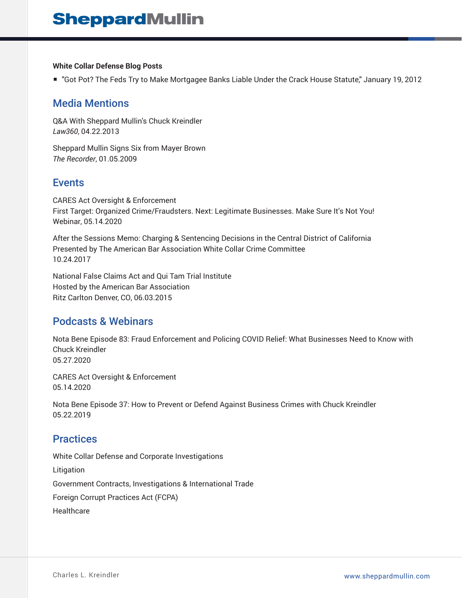#### **White Collar Defense Blog Posts**

■ "Got Pot? The Feds Try to Make Mortgagee Banks Liable Under the Crack House Statute," January 19, 2012

### Media Mentions

Q&A With Sheppard Mullin's Chuck Kreindler *Law360*, 04.22.2013

Sheppard Mullin Signs Six from Mayer Brown *The Recorder*, 01.05.2009

### Events

CARES Act Oversight & Enforcement First Target: Organized Crime/Fraudsters. Next: Legitimate Businesses. Make Sure It's Not You! Webinar, 05.14.2020

After the Sessions Memo: Charging & Sentencing Decisions in the Central District of California Presented by The American Bar Association White Collar Crime Committee 10.24.2017

National False Claims Act and Qui Tam Trial Institute Hosted by the American Bar Association Ritz Carlton Denver, CO, 06.03.2015

### Podcasts & Webinars

Nota Bene Episode 83: Fraud Enforcement and Policing COVID Relief: What Businesses Need to Know with Chuck Kreindler 05.27.2020

CARES Act Oversight & Enforcement 05.14.2020

Nota Bene Episode 37: How to Prevent or Defend Against Business Crimes with Chuck Kreindler 05.22.2019

### **Practices**

White Collar Defense and Corporate Investigations Litigation Government Contracts, Investigations & International Trade Foreign Corrupt Practices Act (FCPA) **Healthcare**